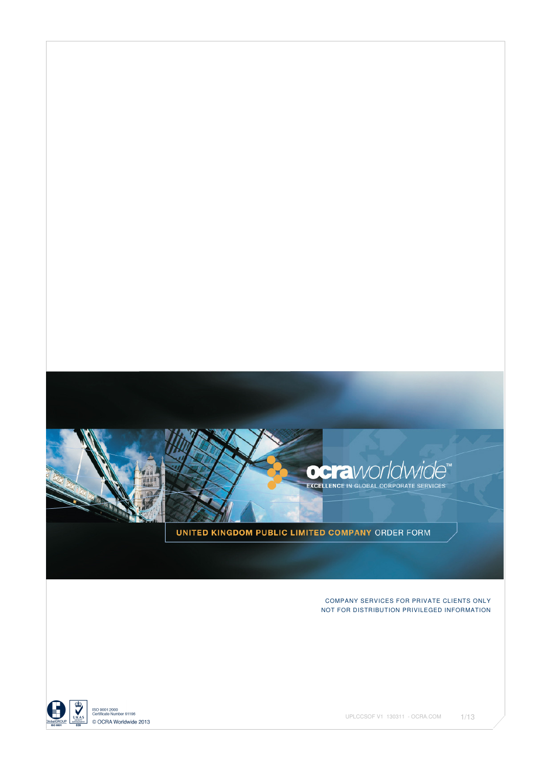

UNITED KINGDOM PUBLIC LIMITED COMPANY ORDER FORM

#### COMPANY SERVICES FOR PRIVATE CLIENTS ONLY NOT FOR DISTRIBUTION PRIVILEGED INFORMATION

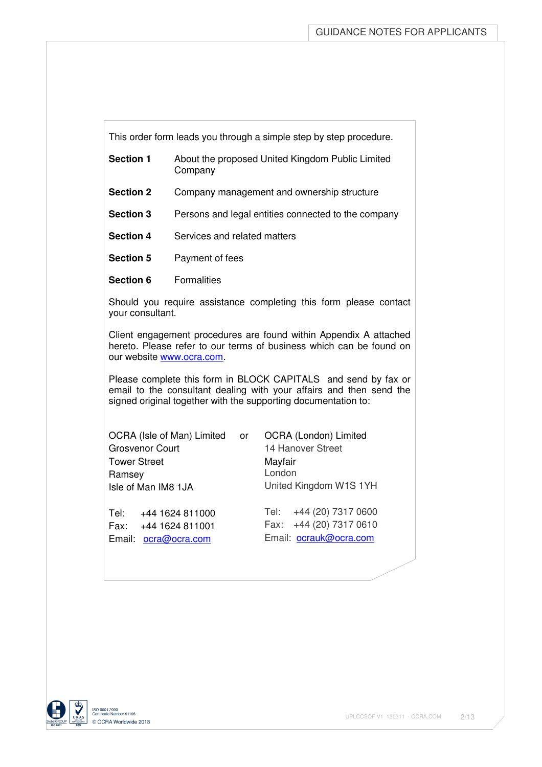This order form leads you through a simple step by step procedure.

| <b>Section 1</b> | About the proposed United Kingdom Public Limited |
|------------------|--------------------------------------------------|
|                  | Company                                          |

- **Section 2** Company management and ownership structure
- **Section 3** Persons and legal entities connected to the company
- **Section 4** Services and related matters
- **Section 5** Payment of fees
- **Section 6** Formalities

Should you require assistance completing this form please contact your consultant.

Client engagement procedures are found within Appendix A attached hereto. Please refer to our terms of business which can be found on our website www.ocra.com.

Please complete this form in BLOCK CAPITALS and send by fax or email to the consultant dealing with your affairs and then send the signed original together with the supporting documentation to:

OCRA (Isle of Man) Limited or OCRA (London) Limited Grosvenor Court 14 Hanover Street Tower Street Mayfair Ramsey **London** Isle of Man IM8 1JA United Kingdom W1S 1YH

Email: ocra@ocra.com Email: ocrauk@ocra.com

Tel: +44 1624 811000 Tel: +44 (20) 7317 0600 Fax: +44 1624 811001 Fax: +44 (20) 7317 0610

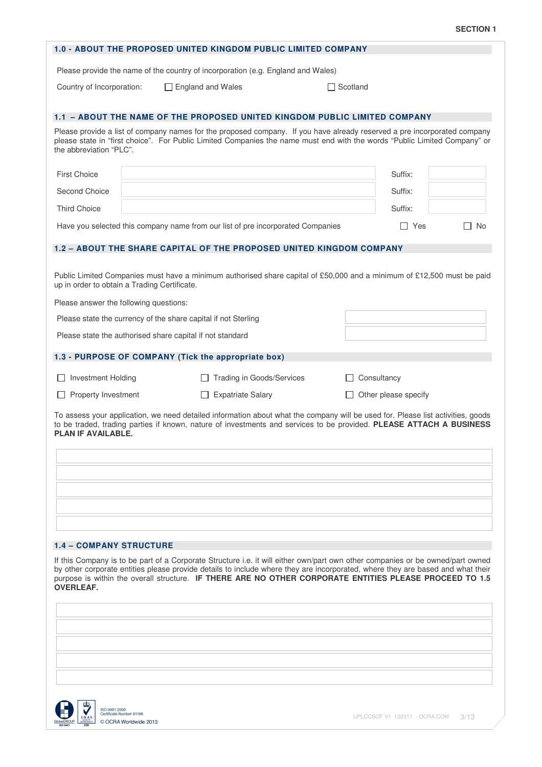|                                |                                                                                                                                                          | <b>1.0 - ABOUT THE PROPOSED UNITED KINGDOM PUBLIC LIMITED COMPANY</b>                                                                                                                                                                                                                                                                                                       |                 |                             |           |
|--------------------------------|----------------------------------------------------------------------------------------------------------------------------------------------------------|-----------------------------------------------------------------------------------------------------------------------------------------------------------------------------------------------------------------------------------------------------------------------------------------------------------------------------------------------------------------------------|-----------------|-----------------------------|-----------|
|                                |                                                                                                                                                          | Please provide the name of the country of incorporation (e.g. England and Wales)                                                                                                                                                                                                                                                                                            |                 |                             |           |
| Country of Incorporation:      |                                                                                                                                                          | $\Box$ England and Wales                                                                                                                                                                                                                                                                                                                                                    | $\Box$ Scotland |                             |           |
|                                |                                                                                                                                                          | 1.1 - ABOUT THE NAME OF THE PROPOSED UNITED KINGDOM PUBLIC LIMITED COMPANY                                                                                                                                                                                                                                                                                                  |                 |                             |           |
| the abbreviation "PLC".        |                                                                                                                                                          | Please provide a list of company names for the proposed company. If you have already reserved a pre incorporated company<br>please state in "first choice". For Public Limited Companies the name must end with the words "Public Limited Company" or                                                                                                                       |                 |                             |           |
| <b>First Choice</b>            |                                                                                                                                                          |                                                                                                                                                                                                                                                                                                                                                                             |                 | Suffix:                     |           |
| Second Choice                  |                                                                                                                                                          |                                                                                                                                                                                                                                                                                                                                                                             |                 | Suffix:                     |           |
| <b>Third Choice</b>            |                                                                                                                                                          |                                                                                                                                                                                                                                                                                                                                                                             |                 | Suffix:                     |           |
|                                |                                                                                                                                                          | Have you selected this company name from our list of pre incorporated Companies                                                                                                                                                                                                                                                                                             |                 | Yes                         | <b>No</b> |
|                                |                                                                                                                                                          | 1.2 - ABOUT THE SHARE CAPITAL OF THE PROPOSED UNITED KINGDOM COMPANY                                                                                                                                                                                                                                                                                                        |                 |                             |           |
|                                | up in order to obtain a Trading Certificate.<br>Please answer the following questions:<br>Please state the currency of the share capital if not Sterling | Public Limited Companies must have a minimum authorised share capital of £50,000 and a minimum of £12,500 must be paid                                                                                                                                                                                                                                                      |                 |                             |           |
|                                | Please state the authorised share capital if not standard                                                                                                |                                                                                                                                                                                                                                                                                                                                                                             |                 |                             |           |
|                                |                                                                                                                                                          | 1.3 - PURPOSE OF COMPANY (Tick the appropriate box)                                                                                                                                                                                                                                                                                                                         |                 |                             |           |
| <b>Investment Holding</b>      |                                                                                                                                                          | <b>Trading in Goods/Services</b>                                                                                                                                                                                                                                                                                                                                            |                 | Consultancy                 |           |
| Property Investment            |                                                                                                                                                          | <b>Expatriate Salary</b><br>Ш                                                                                                                                                                                                                                                                                                                                               |                 | $\Box$ Other please specify |           |
| PLAN IF AVAILABLE.             |                                                                                                                                                          | To assess your application, we need detailed information about what the company will be used for. Please list activities, goods<br>to be traded, trading parties if known, nature of investments and services to be provided. PLEASE ATTACH A BUSINESS                                                                                                                      |                 |                             |           |
|                                |                                                                                                                                                          |                                                                                                                                                                                                                                                                                                                                                                             |                 |                             |           |
|                                |                                                                                                                                                          |                                                                                                                                                                                                                                                                                                                                                                             |                 |                             |           |
| <b>1.4 - COMPANY STRUCTURE</b> |                                                                                                                                                          |                                                                                                                                                                                                                                                                                                                                                                             |                 |                             |           |
| <b>OVERLEAF.</b>               |                                                                                                                                                          | If this Company is to be part of a Corporate Structure i.e. it will either own/part own other companies or be owned/part owned<br>by other corporate entities please provide details to include where they are incorporated, where they are based and what their<br>purpose is within the overall structure. IF THERE ARE NO OTHER CORPORATE ENTITIES PLEASE PROCEED TO 1.5 |                 |                             |           |
|                                |                                                                                                                                                          |                                                                                                                                                                                                                                                                                                                                                                             |                 |                             |           |
|                                |                                                                                                                                                          |                                                                                                                                                                                                                                                                                                                                                                             |                 |                             |           |
|                                |                                                                                                                                                          |                                                                                                                                                                                                                                                                                                                                                                             |                 |                             |           |
|                                |                                                                                                                                                          |                                                                                                                                                                                                                                                                                                                                                                             |                 |                             |           |

 $\overline{\mathbf{B}}$ ISO 9001:2000<br>Certificate Number 91196 © OCRA Worldwide 2013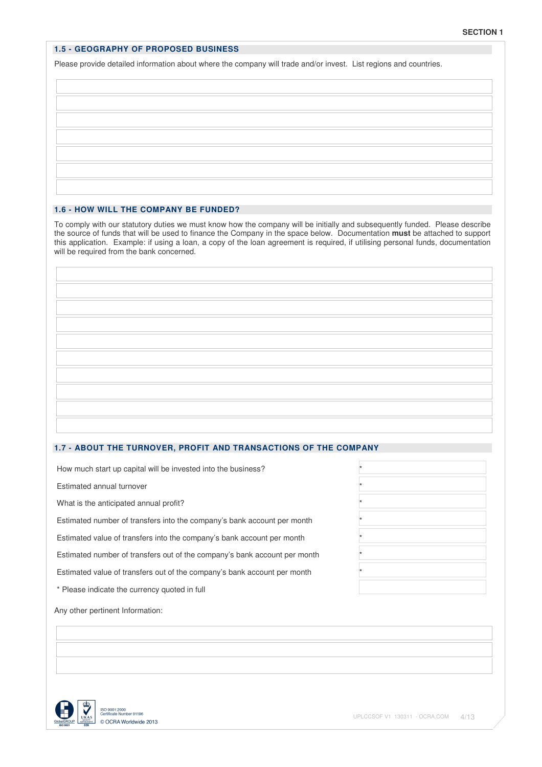### **1.5 - GEOGRAPHY OF PROPOSED BUSINESS**

Please provide detailed information about where the company will trade and/or invest. List regions and countries.

# **1.6 - HOW WILL THE COMPANY BE FUNDED?**

To comply with our statutory duties we must know how the company will be initially and subsequently funded. Please describe the source of funds that will be used to finance the Company in the space below. Documentation **must** be attached to support this application. Example: if using a loan, a copy of the loan agreement is required, if utilising personal funds, documentation will be required from the bank concerned.

### **1.7 - ABOUT THE TURNOVER, PROFIT AND TRANSACTIONS OF THE COMPANY**

How much start up capital will be invested into the business? \*

Estimated annual turnover \*

What is the anticipated annual profit?

Estimated number of transfers into the company's bank account per month \*

Estimated value of transfers into the company's bank account per month \*

Estimated number of transfers out of the company's bank account per month \*

Estimated value of transfers out of the company's bank account per month \*

\* Please indicate the currency quoted in full

Any other pertinent Information:

|                 | UKAS |
|-----------------|------|
| GlobalGROUP     |      |
| <b>ISO 9001</b> |      |

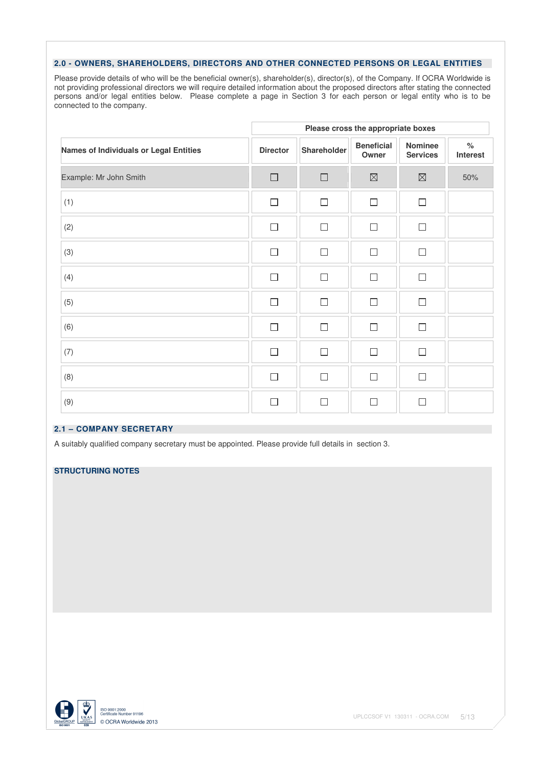### **2.0 - OWNERS, SHAREHOLDERS, DIRECTORS AND OTHER CONNECTED PERSONS OR LEGAL ENTITIES**

Please provide details of who will be the beneficial owner(s), shareholder(s), director(s), of the Company. If OCRA Worldwide is not providing professional directors we will require detailed information about the proposed directors after stating the connected persons and/or legal entities below. Please complete a page in Section 3 for each person or legal entity who is to be connected to the company.

|                                        |                 |             | Please cross the appropriate boxes |                                   |                  |
|----------------------------------------|-----------------|-------------|------------------------------------|-----------------------------------|------------------|
| Names of Individuals or Legal Entities | <b>Director</b> | Shareholder | <b>Beneficial</b><br>Owner         | <b>Nominee</b><br><b>Services</b> | $\%$<br>Interest |
| Example: Mr John Smith                 | $\Box$          | $\Box$      | $\boxtimes$                        | $\boxtimes$                       | 50%              |
| (1)                                    | $\Box$          | П           | $\Box$                             | $\Box$                            |                  |
| (2)                                    | $\Box$          | $\Box$      | $\Box$                             | $\Box$                            |                  |
| (3)                                    | $\Box$          | $\Box$      | $\Box$                             | $\Box$                            |                  |
| (4)                                    | $\Box$          | П           | П                                  | $\Box$                            |                  |
| (5)                                    | $\Box$          | $\Box$      | $\Box$                             | $\Box$                            |                  |
| (6)                                    | $\Box$          | $\Box$      | П                                  | П                                 |                  |
| (7)                                    | $\Box$          | $\Box$      | П                                  | $\Box$                            |                  |
| (8)                                    | $\Box$          | $\Box$      | $\Box$                             | $\Box$                            |                  |
| (9)                                    | П               | П           | П                                  | $\Box$                            |                  |

### **2.1 – COMPANY SECRETARY**

A suitably qualified company secretary must be appointed. Please provide full details in section 3.

# **STRUCTURING NOTES**

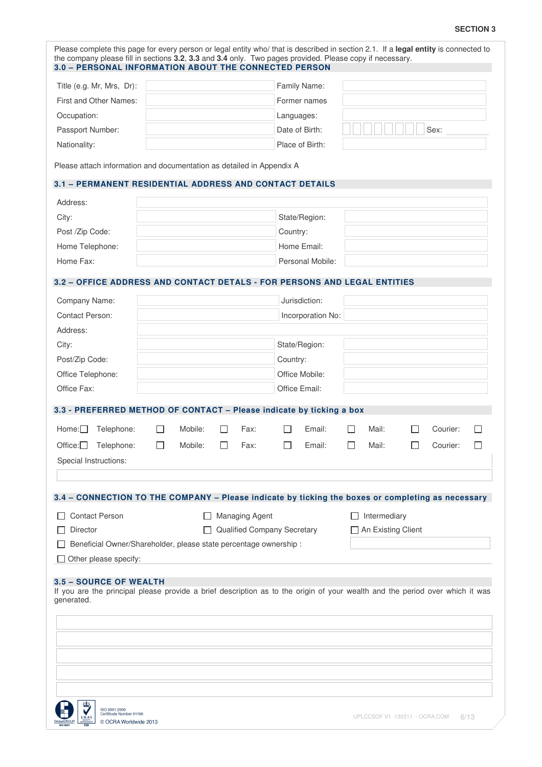### **SECTION 3**

| Family Name:<br>First and Other Names:<br>Former names<br>Occupation:<br>Languages:<br>Date of Birth:<br>Sex:<br>Passport Number:<br>Nationality:<br>Place of Birth:<br>Please attach information and documentation as detailed in Appendix A<br>3.1 - PERMANENT RESIDENTIAL ADDRESS AND CONTACT DETAILS<br>State/Region:<br>Country:<br>Home Email:<br>Personal Mobile:<br>3.2 - OFFICE ADDRESS AND CONTACT DETALS - FOR PERSONS AND LEGAL ENTITIES<br>Jurisdiction:<br>Incorporation No:<br>State/Region:<br>Post/Zip Code:<br>Country:<br>Office Telephone:<br>Office Mobile:<br>Office Fax:<br>Office Email:<br>3.3 - PREFERRED METHOD OF CONTACT - Please indicate by ticking a box<br>Telephone:<br>Mobile:<br>Fax:<br>Email:<br>Mail:<br>Courier:<br>$\mathsf{L}$<br>$\mathbf{I}$<br>$\perp$<br>$\mathsf{L}$<br>Fax:<br>Office:<br>Telephone:<br>Mobile:<br>Email:<br>Mail:<br>Courier:<br>Special Instructions:<br>3.4 - CONNECTION TO THE COMPANY - Please indicate by ticking the boxes or completing as necessary<br><b>Contact Person</b><br>$\Box$ Managing Agent<br>$\Box$ Intermediary<br>Director<br>Qualified Company Secretary<br>□ An Existing Client<br>Beneficial Owner/Shareholder, please state percentage ownership :<br>Other please specify: |                           |  |  |  |  |  |  |
|------------------------------------------------------------------------------------------------------------------------------------------------------------------------------------------------------------------------------------------------------------------------------------------------------------------------------------------------------------------------------------------------------------------------------------------------------------------------------------------------------------------------------------------------------------------------------------------------------------------------------------------------------------------------------------------------------------------------------------------------------------------------------------------------------------------------------------------------------------------------------------------------------------------------------------------------------------------------------------------------------------------------------------------------------------------------------------------------------------------------------------------------------------------------------------------------------------------------------------------------------------------------|---------------------------|--|--|--|--|--|--|
|                                                                                                                                                                                                                                                                                                                                                                                                                                                                                                                                                                                                                                                                                                                                                                                                                                                                                                                                                                                                                                                                                                                                                                                                                                                                        | Title (e.g. Mr, Mrs, Dr): |  |  |  |  |  |  |
|                                                                                                                                                                                                                                                                                                                                                                                                                                                                                                                                                                                                                                                                                                                                                                                                                                                                                                                                                                                                                                                                                                                                                                                                                                                                        |                           |  |  |  |  |  |  |
|                                                                                                                                                                                                                                                                                                                                                                                                                                                                                                                                                                                                                                                                                                                                                                                                                                                                                                                                                                                                                                                                                                                                                                                                                                                                        |                           |  |  |  |  |  |  |
|                                                                                                                                                                                                                                                                                                                                                                                                                                                                                                                                                                                                                                                                                                                                                                                                                                                                                                                                                                                                                                                                                                                                                                                                                                                                        |                           |  |  |  |  |  |  |
|                                                                                                                                                                                                                                                                                                                                                                                                                                                                                                                                                                                                                                                                                                                                                                                                                                                                                                                                                                                                                                                                                                                                                                                                                                                                        |                           |  |  |  |  |  |  |
|                                                                                                                                                                                                                                                                                                                                                                                                                                                                                                                                                                                                                                                                                                                                                                                                                                                                                                                                                                                                                                                                                                                                                                                                                                                                        |                           |  |  |  |  |  |  |
|                                                                                                                                                                                                                                                                                                                                                                                                                                                                                                                                                                                                                                                                                                                                                                                                                                                                                                                                                                                                                                                                                                                                                                                                                                                                        |                           |  |  |  |  |  |  |
|                                                                                                                                                                                                                                                                                                                                                                                                                                                                                                                                                                                                                                                                                                                                                                                                                                                                                                                                                                                                                                                                                                                                                                                                                                                                        | Address:                  |  |  |  |  |  |  |
|                                                                                                                                                                                                                                                                                                                                                                                                                                                                                                                                                                                                                                                                                                                                                                                                                                                                                                                                                                                                                                                                                                                                                                                                                                                                        | City:                     |  |  |  |  |  |  |
|                                                                                                                                                                                                                                                                                                                                                                                                                                                                                                                                                                                                                                                                                                                                                                                                                                                                                                                                                                                                                                                                                                                                                                                                                                                                        | Post /Zip Code:           |  |  |  |  |  |  |
|                                                                                                                                                                                                                                                                                                                                                                                                                                                                                                                                                                                                                                                                                                                                                                                                                                                                                                                                                                                                                                                                                                                                                                                                                                                                        | Home Telephone:           |  |  |  |  |  |  |
|                                                                                                                                                                                                                                                                                                                                                                                                                                                                                                                                                                                                                                                                                                                                                                                                                                                                                                                                                                                                                                                                                                                                                                                                                                                                        | Home Fax:                 |  |  |  |  |  |  |
|                                                                                                                                                                                                                                                                                                                                                                                                                                                                                                                                                                                                                                                                                                                                                                                                                                                                                                                                                                                                                                                                                                                                                                                                                                                                        |                           |  |  |  |  |  |  |
|                                                                                                                                                                                                                                                                                                                                                                                                                                                                                                                                                                                                                                                                                                                                                                                                                                                                                                                                                                                                                                                                                                                                                                                                                                                                        | Company Name:             |  |  |  |  |  |  |
|                                                                                                                                                                                                                                                                                                                                                                                                                                                                                                                                                                                                                                                                                                                                                                                                                                                                                                                                                                                                                                                                                                                                                                                                                                                                        | <b>Contact Person:</b>    |  |  |  |  |  |  |
|                                                                                                                                                                                                                                                                                                                                                                                                                                                                                                                                                                                                                                                                                                                                                                                                                                                                                                                                                                                                                                                                                                                                                                                                                                                                        | Address:                  |  |  |  |  |  |  |
|                                                                                                                                                                                                                                                                                                                                                                                                                                                                                                                                                                                                                                                                                                                                                                                                                                                                                                                                                                                                                                                                                                                                                                                                                                                                        | City:                     |  |  |  |  |  |  |
|                                                                                                                                                                                                                                                                                                                                                                                                                                                                                                                                                                                                                                                                                                                                                                                                                                                                                                                                                                                                                                                                                                                                                                                                                                                                        |                           |  |  |  |  |  |  |
|                                                                                                                                                                                                                                                                                                                                                                                                                                                                                                                                                                                                                                                                                                                                                                                                                                                                                                                                                                                                                                                                                                                                                                                                                                                                        |                           |  |  |  |  |  |  |
|                                                                                                                                                                                                                                                                                                                                                                                                                                                                                                                                                                                                                                                                                                                                                                                                                                                                                                                                                                                                                                                                                                                                                                                                                                                                        |                           |  |  |  |  |  |  |
|                                                                                                                                                                                                                                                                                                                                                                                                                                                                                                                                                                                                                                                                                                                                                                                                                                                                                                                                                                                                                                                                                                                                                                                                                                                                        |                           |  |  |  |  |  |  |
|                                                                                                                                                                                                                                                                                                                                                                                                                                                                                                                                                                                                                                                                                                                                                                                                                                                                                                                                                                                                                                                                                                                                                                                                                                                                        | Home:                     |  |  |  |  |  |  |
|                                                                                                                                                                                                                                                                                                                                                                                                                                                                                                                                                                                                                                                                                                                                                                                                                                                                                                                                                                                                                                                                                                                                                                                                                                                                        |                           |  |  |  |  |  |  |
|                                                                                                                                                                                                                                                                                                                                                                                                                                                                                                                                                                                                                                                                                                                                                                                                                                                                                                                                                                                                                                                                                                                                                                                                                                                                        |                           |  |  |  |  |  |  |
|                                                                                                                                                                                                                                                                                                                                                                                                                                                                                                                                                                                                                                                                                                                                                                                                                                                                                                                                                                                                                                                                                                                                                                                                                                                                        |                           |  |  |  |  |  |  |
|                                                                                                                                                                                                                                                                                                                                                                                                                                                                                                                                                                                                                                                                                                                                                                                                                                                                                                                                                                                                                                                                                                                                                                                                                                                                        |                           |  |  |  |  |  |  |
|                                                                                                                                                                                                                                                                                                                                                                                                                                                                                                                                                                                                                                                                                                                                                                                                                                                                                                                                                                                                                                                                                                                                                                                                                                                                        |                           |  |  |  |  |  |  |
|                                                                                                                                                                                                                                                                                                                                                                                                                                                                                                                                                                                                                                                                                                                                                                                                                                                                                                                                                                                                                                                                                                                                                                                                                                                                        |                           |  |  |  |  |  |  |
|                                                                                                                                                                                                                                                                                                                                                                                                                                                                                                                                                                                                                                                                                                                                                                                                                                                                                                                                                                                                                                                                                                                                                                                                                                                                        |                           |  |  |  |  |  |  |
|                                                                                                                                                                                                                                                                                                                                                                                                                                                                                                                                                                                                                                                                                                                                                                                                                                                                                                                                                                                                                                                                                                                                                                                                                                                                        |                           |  |  |  |  |  |  |
|                                                                                                                                                                                                                                                                                                                                                                                                                                                                                                                                                                                                                                                                                                                                                                                                                                                                                                                                                                                                                                                                                                                                                                                                                                                                        |                           |  |  |  |  |  |  |
| 3.5 - SOURCE OF WEALTH                                                                                                                                                                                                                                                                                                                                                                                                                                                                                                                                                                                                                                                                                                                                                                                                                                                                                                                                                                                                                                                                                                                                                                                                                                                 |                           |  |  |  |  |  |  |
| If you are the principal please provide a brief description as to the origin of your wealth and the period over which it was                                                                                                                                                                                                                                                                                                                                                                                                                                                                                                                                                                                                                                                                                                                                                                                                                                                                                                                                                                                                                                                                                                                                           |                           |  |  |  |  |  |  |
| generated.                                                                                                                                                                                                                                                                                                                                                                                                                                                                                                                                                                                                                                                                                                                                                                                                                                                                                                                                                                                                                                                                                                                                                                                                                                                             |                           |  |  |  |  |  |  |
|                                                                                                                                                                                                                                                                                                                                                                                                                                                                                                                                                                                                                                                                                                                                                                                                                                                                                                                                                                                                                                                                                                                                                                                                                                                                        |                           |  |  |  |  |  |  |
|                                                                                                                                                                                                                                                                                                                                                                                                                                                                                                                                                                                                                                                                                                                                                                                                                                                                                                                                                                                                                                                                                                                                                                                                                                                                        |                           |  |  |  |  |  |  |
|                                                                                                                                                                                                                                                                                                                                                                                                                                                                                                                                                                                                                                                                                                                                                                                                                                                                                                                                                                                                                                                                                                                                                                                                                                                                        |                           |  |  |  |  |  |  |
|                                                                                                                                                                                                                                                                                                                                                                                                                                                                                                                                                                                                                                                                                                                                                                                                                                                                                                                                                                                                                                                                                                                                                                                                                                                                        |                           |  |  |  |  |  |  |
|                                                                                                                                                                                                                                                                                                                                                                                                                                                                                                                                                                                                                                                                                                                                                                                                                                                                                                                                                                                                                                                                                                                                                                                                                                                                        |                           |  |  |  |  |  |  |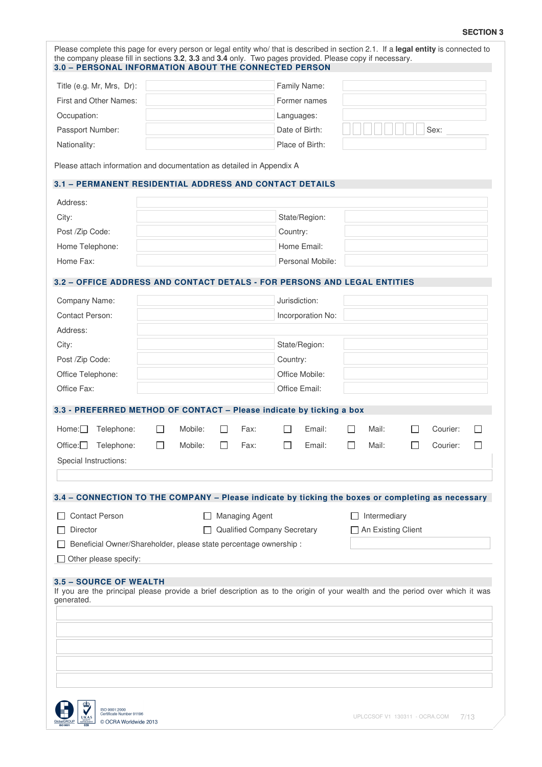### **SECTION 3**

|                                                                                                                                                                             |              |         |    | 3.0 - PERSONAL INFORMATION ABOUT THE CONNECTED PERSON |               | the company please fill in sections 3.2, 3.3 and 3.4 only. Two pages provided. Please copy if necessary. |    |                      |          | Please complete this page for every person or legal entity who/ that is described in section 2.1. If a legal entity is connected to |
|-----------------------------------------------------------------------------------------------------------------------------------------------------------------------------|--------------|---------|----|-------------------------------------------------------|---------------|----------------------------------------------------------------------------------------------------------|----|----------------------|----------|-------------------------------------------------------------------------------------------------------------------------------------|
| Title (e.g. Mr, Mrs, Dr):                                                                                                                                                   |              |         |    |                                                       |               | Family Name:                                                                                             |    |                      |          |                                                                                                                                     |
| First and Other Names:                                                                                                                                                      |              |         |    |                                                       |               | Former names                                                                                             |    |                      |          |                                                                                                                                     |
| Occupation:                                                                                                                                                                 |              |         |    |                                                       | Languages:    |                                                                                                          |    |                      |          |                                                                                                                                     |
| Passport Number:                                                                                                                                                            |              |         |    |                                                       |               | Date of Birth:                                                                                           |    |                      | Sex:     |                                                                                                                                     |
| Nationality:                                                                                                                                                                |              |         |    |                                                       |               | Place of Birth:                                                                                          |    |                      |          |                                                                                                                                     |
| Please attach information and documentation as detailed in Appendix A<br>3.1 - PERMANENT RESIDENTIAL ADDRESS AND CONTACT DETAILS                                            |              |         |    |                                                       |               |                                                                                                          |    |                      |          |                                                                                                                                     |
|                                                                                                                                                                             |              |         |    |                                                       |               |                                                                                                          |    |                      |          |                                                                                                                                     |
| Address:                                                                                                                                                                    |              |         |    |                                                       |               |                                                                                                          |    |                      |          |                                                                                                                                     |
| City:                                                                                                                                                                       |              |         |    |                                                       |               | State/Region:                                                                                            |    |                      |          |                                                                                                                                     |
| Post /Zip Code:                                                                                                                                                             |              |         |    |                                                       | Country:      |                                                                                                          |    |                      |          |                                                                                                                                     |
| Home Telephone:                                                                                                                                                             |              |         |    |                                                       |               | Home Email:                                                                                              |    |                      |          |                                                                                                                                     |
| Home Fax:                                                                                                                                                                   |              |         |    |                                                       |               | Personal Mobile:                                                                                         |    |                      |          |                                                                                                                                     |
| 3.2 - OFFICE ADDRESS AND CONTACT DETALS - FOR PERSONS AND LEGAL ENTITIES                                                                                                    |              |         |    |                                                       |               |                                                                                                          |    |                      |          |                                                                                                                                     |
| Company Name:                                                                                                                                                               |              |         |    |                                                       | Jurisdiction: |                                                                                                          |    |                      |          |                                                                                                                                     |
| Contact Person:                                                                                                                                                             |              |         |    |                                                       |               | Incorporation No:                                                                                        |    |                      |          |                                                                                                                                     |
| Address:                                                                                                                                                                    |              |         |    |                                                       |               |                                                                                                          |    |                      |          |                                                                                                                                     |
| City:                                                                                                                                                                       |              |         |    |                                                       |               | State/Region:                                                                                            |    |                      |          |                                                                                                                                     |
| Post /Zip Code:                                                                                                                                                             |              |         |    |                                                       | Country:      |                                                                                                          |    |                      |          |                                                                                                                                     |
| Office Telephone:                                                                                                                                                           |              |         |    |                                                       |               | Office Mobile:                                                                                           |    |                      |          |                                                                                                                                     |
| Office Fax:                                                                                                                                                                 |              |         |    |                                                       |               | Office Email:                                                                                            |    |                      |          |                                                                                                                                     |
|                                                                                                                                                                             |              |         |    |                                                       |               |                                                                                                          |    |                      |          |                                                                                                                                     |
| 3.3 - PREFERRED METHOD OF CONTACT - Please indicate by ticking a box                                                                                                        |              |         |    |                                                       |               |                                                                                                          |    |                      |          |                                                                                                                                     |
| Home:L<br>Telephone:                                                                                                                                                        |              | Mobile: |    | Fax:                                                  |               | Email:                                                                                                   |    | Mail:                | Courier: |                                                                                                                                     |
| Office:<br>Telephone:                                                                                                                                                       | $\mathsf{L}$ | Mobile: | ΙI | Fax:                                                  | L             | Email:                                                                                                   | ΙI | Mail:                | Courier: | $\mathbf{L}$                                                                                                                        |
| Special Instructions:                                                                                                                                                       |              |         |    |                                                       |               |                                                                                                          |    |                      |          |                                                                                                                                     |
| 3.4 - CONNECTION TO THE COMPANY - Please indicate by ticking the boxes or completing as necessary<br><b>Contact Person</b>                                                  |              |         |    | <b>Managing Agent</b>                                 |               |                                                                                                          |    | Intermediary         |          |                                                                                                                                     |
| Director                                                                                                                                                                    |              |         |    | Qualified Company Secretary                           |               |                                                                                                          |    | □ An Existing Client |          |                                                                                                                                     |
| Beneficial Owner/Shareholder, please state percentage ownership :                                                                                                           |              |         |    |                                                       |               |                                                                                                          |    |                      |          |                                                                                                                                     |
| Other please specify:                                                                                                                                                       |              |         |    |                                                       |               |                                                                                                          |    |                      |          |                                                                                                                                     |
| <b>3.5 - SOURCE OF WEALTH</b><br>If you are the principal please provide a brief description as to the origin of your wealth and the period over which it was<br>generated. |              |         |    |                                                       |               |                                                                                                          |    |                      |          |                                                                                                                                     |
|                                                                                                                                                                             |              |         |    |                                                       |               |                                                                                                          |    |                      |          |                                                                                                                                     |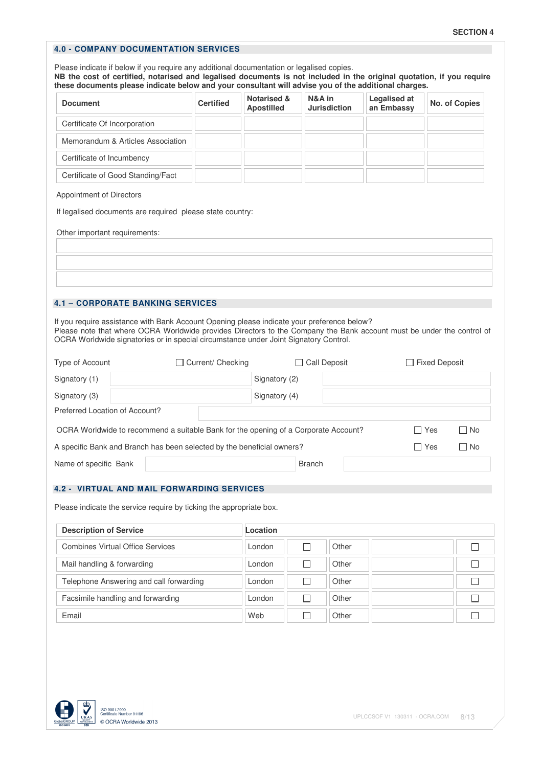# **4.0 - COMPANY DOCUMENTATION SERVICES**

Please indicate if below if you require any additional documentation or legalised copies. **NB the cost of certified, notarised and legalised documents is not included in the original quotation, if you require these documents please indicate below and your consultant will advise you of the additional charges.**

| <b>Document</b>                   | <b>Certified</b> | <b>Notarised &amp;</b><br><b>Apostilled</b> | N&A in<br><b>Jurisdiction</b> | <b>Legalised at</b><br>an Embassy | No. of Copies |
|-----------------------------------|------------------|---------------------------------------------|-------------------------------|-----------------------------------|---------------|
| Certificate Of Incorporation      |                  |                                             |                               |                                   |               |
| Memorandum & Articles Association |                  |                                             |                               |                                   |               |
| Certificate of Incumbency         |                  |                                             |                               |                                   |               |
| Certificate of Good Standing/Fact |                  |                                             |                               |                                   |               |

#### Appointment of Directors

If legalised documents are required please state country:

Other important requirements:

### **4.1 – CORPORATE BANKING SERVICES**

If you require assistance with Bank Account Opening please indicate your preference below? Please note that where OCRA Worldwide provides Directors to the Company the Bank account must be under the control of OCRA Worldwide signatories or in special circumstance under Joint Signatory Control.

| Type of Account                | Current/ Checking<br>$\mathsf{L}$                                                   |               | T Call Deposit | □ Fixed Deposit |           |
|--------------------------------|-------------------------------------------------------------------------------------|---------------|----------------|-----------------|-----------|
| Signatory (1)                  |                                                                                     | Signatory (2) |                |                 |           |
| Signatory (3)                  |                                                                                     | Signatory (4) |                |                 |           |
| Preferred Location of Account? |                                                                                     |               |                |                 |           |
|                                | OCRA Worldwide to recommend a suitable Bank for the opening of a Corporate Account? |               |                | □ Yes           | $\Box$ No |
|                                | A specific Bank and Branch has been selected by the beneficial owners?              |               |                | □ Yes           | $\Box$ No |
| Name of specific Bank          |                                                                                     | <b>Branch</b> |                |                 |           |

#### **4.2 - VIRTUAL AND MAIL FORWARDING SERVICES**

Please indicate the service require by ticking the appropriate box.

| <b>Description of Service</b>           | Location |       |  |
|-----------------------------------------|----------|-------|--|
| <b>Combines Virtual Office Services</b> | London   | Other |  |
| Mail handling & forwarding              | London   | Other |  |
| Telephone Answering and call forwarding | London   | Other |  |
| Facsimile handling and forwarding       | London   | Other |  |
| Email                                   | Web      | Other |  |

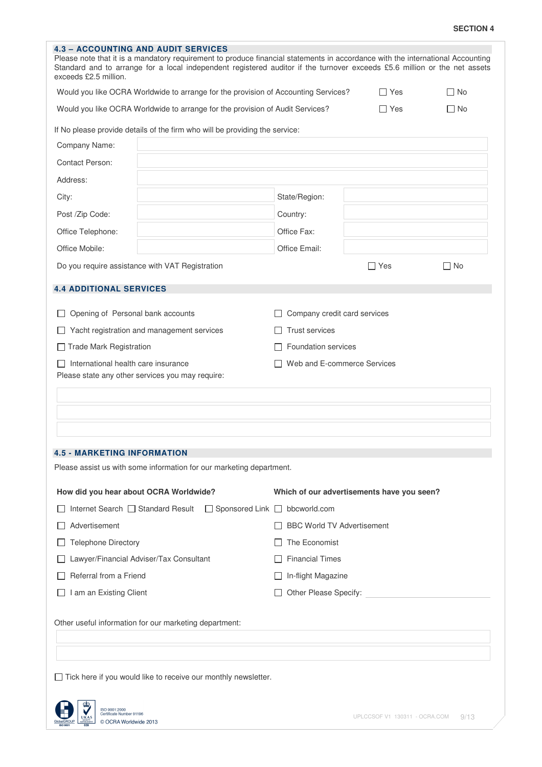| <b>SECTION 4</b> |  |  |
|------------------|--|--|
|------------------|--|--|

| Would you like OCRA Worldwide to arrange for the provision of Accounting Services? | $\Box$ Yes                                                           | $\Box$ No                                                                                                                                                                                                                                                                                                                                                                                                                                                                                             |
|------------------------------------------------------------------------------------|----------------------------------------------------------------------|-------------------------------------------------------------------------------------------------------------------------------------------------------------------------------------------------------------------------------------------------------------------------------------------------------------------------------------------------------------------------------------------------------------------------------------------------------------------------------------------------------|
| Would you like OCRA Worldwide to arrange for the provision of Audit Services?      | $\Box$ Yes                                                           | l INo                                                                                                                                                                                                                                                                                                                                                                                                                                                                                                 |
| If No please provide details of the firm who will be providing the service:        |                                                                      |                                                                                                                                                                                                                                                                                                                                                                                                                                                                                                       |
|                                                                                    |                                                                      |                                                                                                                                                                                                                                                                                                                                                                                                                                                                                                       |
|                                                                                    |                                                                      |                                                                                                                                                                                                                                                                                                                                                                                                                                                                                                       |
|                                                                                    |                                                                      |                                                                                                                                                                                                                                                                                                                                                                                                                                                                                                       |
| State/Region:                                                                      |                                                                      |                                                                                                                                                                                                                                                                                                                                                                                                                                                                                                       |
| Country:                                                                           |                                                                      |                                                                                                                                                                                                                                                                                                                                                                                                                                                                                                       |
| Office Fax:                                                                        |                                                                      |                                                                                                                                                                                                                                                                                                                                                                                                                                                                                                       |
| Office Email:                                                                      |                                                                      |                                                                                                                                                                                                                                                                                                                                                                                                                                                                                                       |
|                                                                                    | $\Box$ Yes                                                           | $\Box$ No                                                                                                                                                                                                                                                                                                                                                                                                                                                                                             |
|                                                                                    |                                                                      |                                                                                                                                                                                                                                                                                                                                                                                                                                                                                                       |
|                                                                                    |                                                                      |                                                                                                                                                                                                                                                                                                                                                                                                                                                                                                       |
|                                                                                    |                                                                      |                                                                                                                                                                                                                                                                                                                                                                                                                                                                                                       |
| <b>Trust services</b>                                                              |                                                                      |                                                                                                                                                                                                                                                                                                                                                                                                                                                                                                       |
|                                                                                    |                                                                      |                                                                                                                                                                                                                                                                                                                                                                                                                                                                                                       |
|                                                                                    |                                                                      |                                                                                                                                                                                                                                                                                                                                                                                                                                                                                                       |
|                                                                                    |                                                                      |                                                                                                                                                                                                                                                                                                                                                                                                                                                                                                       |
|                                                                                    |                                                                      |                                                                                                                                                                                                                                                                                                                                                                                                                                                                                                       |
|                                                                                    |                                                                      |                                                                                                                                                                                                                                                                                                                                                                                                                                                                                                       |
|                                                                                    |                                                                      |                                                                                                                                                                                                                                                                                                                                                                                                                                                                                                       |
|                                                                                    |                                                                      |                                                                                                                                                                                                                                                                                                                                                                                                                                                                                                       |
|                                                                                    |                                                                      |                                                                                                                                                                                                                                                                                                                                                                                                                                                                                                       |
|                                                                                    |                                                                      |                                                                                                                                                                                                                                                                                                                                                                                                                                                                                                       |
|                                                                                    |                                                                      |                                                                                                                                                                                                                                                                                                                                                                                                                                                                                                       |
| □ Sponsored Link □ bbcworld.com                                                    |                                                                      |                                                                                                                                                                                                                                                                                                                                                                                                                                                                                                       |
|                                                                                    |                                                                      |                                                                                                                                                                                                                                                                                                                                                                                                                                                                                                       |
| The Economist                                                                      |                                                                      |                                                                                                                                                                                                                                                                                                                                                                                                                                                                                                       |
| <b>Financial Times</b>                                                             |                                                                      |                                                                                                                                                                                                                                                                                                                                                                                                                                                                                                       |
| In-flight Magazine                                                                 |                                                                      |                                                                                                                                                                                                                                                                                                                                                                                                                                                                                                       |
|                                                                                    |                                                                      |                                                                                                                                                                                                                                                                                                                                                                                                                                                                                                       |
|                                                                                    |                                                                      |                                                                                                                                                                                                                                                                                                                                                                                                                                                                                                       |
|                                                                                    |                                                                      |                                                                                                                                                                                                                                                                                                                                                                                                                                                                                                       |
|                                                                                    |                                                                      |                                                                                                                                                                                                                                                                                                                                                                                                                                                                                                       |
|                                                                                    |                                                                      |                                                                                                                                                                                                                                                                                                                                                                                                                                                                                                       |
|                                                                                    |                                                                      |                                                                                                                                                                                                                                                                                                                                                                                                                                                                                                       |
| $\Box$ Tick here if you would like to receive our monthly newsletter.              |                                                                      |                                                                                                                                                                                                                                                                                                                                                                                                                                                                                                       |
|                                                                                    |                                                                      |                                                                                                                                                                                                                                                                                                                                                                                                                                                                                                       |
|                                                                                    | Please assist us with some information for our marketing department. | Please note that it is a mandatory requirement to produce financial statements in accordance with the international Accounting<br>Standard and to arrange for a local independent registered auditor if the turnover exceeds £5.6 million or the net assets<br>Company credit card services<br><b>Foundation services</b><br>Web and E-commerce Services<br>Which of our advertisements have you seen?<br><b>BBC World TV Advertisement</b><br>Other Please Specify: <b>Container Please Specify:</b> |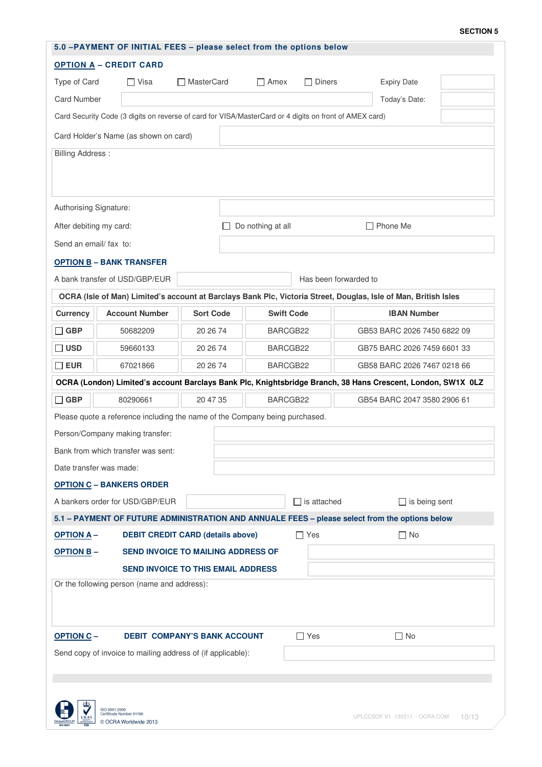#### **SECTION 5**

| <b>OPTION A - CREDIT CARD</b><br>Type of Card<br>$\Box$ Visa<br>$\Box$ Amex<br>$\Box$ Diners<br><b>Expiry Date</b><br><b>□ MasterCard</b><br><b>Card Number</b><br>Today's Date:<br>Card Security Code (3 digits on reverse of card for VISA/MasterCard or 4 digits on front of AMEX card)<br>Card Holder's Name (as shown on card)<br><b>Billing Address:</b><br>Authorising Signature:<br>Do nothing at all<br>$\Box$ Phone Me<br>After debiting my card:<br>Send an email/ fax to:<br><b>OPTION B-BANK TRANSFER</b><br>A bank transfer of USD/GBP/EUR<br>Has been forwarded to |
|-----------------------------------------------------------------------------------------------------------------------------------------------------------------------------------------------------------------------------------------------------------------------------------------------------------------------------------------------------------------------------------------------------------------------------------------------------------------------------------------------------------------------------------------------------------------------------------|
|                                                                                                                                                                                                                                                                                                                                                                                                                                                                                                                                                                                   |
|                                                                                                                                                                                                                                                                                                                                                                                                                                                                                                                                                                                   |
|                                                                                                                                                                                                                                                                                                                                                                                                                                                                                                                                                                                   |
|                                                                                                                                                                                                                                                                                                                                                                                                                                                                                                                                                                                   |
|                                                                                                                                                                                                                                                                                                                                                                                                                                                                                                                                                                                   |
|                                                                                                                                                                                                                                                                                                                                                                                                                                                                                                                                                                                   |
|                                                                                                                                                                                                                                                                                                                                                                                                                                                                                                                                                                                   |
|                                                                                                                                                                                                                                                                                                                                                                                                                                                                                                                                                                                   |
|                                                                                                                                                                                                                                                                                                                                                                                                                                                                                                                                                                                   |
|                                                                                                                                                                                                                                                                                                                                                                                                                                                                                                                                                                                   |
|                                                                                                                                                                                                                                                                                                                                                                                                                                                                                                                                                                                   |
|                                                                                                                                                                                                                                                                                                                                                                                                                                                                                                                                                                                   |
|                                                                                                                                                                                                                                                                                                                                                                                                                                                                                                                                                                                   |
| OCRA (Isle of Man) Limited's account at Barclays Bank Plc, Victoria Street, Douglas, Isle of Man, British Isles                                                                                                                                                                                                                                                                                                                                                                                                                                                                   |
| <b>Account Number</b><br><b>Sort Code</b><br><b>Swift Code</b><br><b>IBAN Number</b><br><b>Currency</b>                                                                                                                                                                                                                                                                                                                                                                                                                                                                           |
| $\Box$ GBP<br>20 26 74<br>BARCGB22<br>GB53 BARC 2026 7450 6822 09<br>50682209                                                                                                                                                                                                                                                                                                                                                                                                                                                                                                     |
| $\sqsupset$ usd<br>59660133<br>20 26 74<br>BARCGB22<br>GB75 BARC 2026 7459 6601 33                                                                                                                                                                                                                                                                                                                                                                                                                                                                                                |
| $\square$ EUR<br>20 26 74<br>BARCGB22<br>67021866<br>GB58 BARC 2026 7467 0218 66                                                                                                                                                                                                                                                                                                                                                                                                                                                                                                  |
| OCRA (London) Limited's account Barclays Bank Plc, Knightsbridge Branch, 38 Hans Crescent, London, SW1X 0LZ                                                                                                                                                                                                                                                                                                                                                                                                                                                                       |
| $\Box$ GBP<br>80290661<br>20 47 35<br>BARCGB22<br>GB54 BARC 2047 3580 2906 61                                                                                                                                                                                                                                                                                                                                                                                                                                                                                                     |
| Please quote a reference including the name of the Company being purchased.                                                                                                                                                                                                                                                                                                                                                                                                                                                                                                       |
| Person/Company making transfer:                                                                                                                                                                                                                                                                                                                                                                                                                                                                                                                                                   |
| Bank from which transfer was sent:                                                                                                                                                                                                                                                                                                                                                                                                                                                                                                                                                |
| Date transfer was made:                                                                                                                                                                                                                                                                                                                                                                                                                                                                                                                                                           |
| <b>OPTION C - BANKERS ORDER</b>                                                                                                                                                                                                                                                                                                                                                                                                                                                                                                                                                   |
| A bankers order for USD/GBP/EUR<br>$\Box$ is attached<br>$\Box$ is being sent                                                                                                                                                                                                                                                                                                                                                                                                                                                                                                     |
| 5.1 - PAYMENT OF FUTURE ADMINISTRATION AND ANNUALE FEES - please select from the options below                                                                                                                                                                                                                                                                                                                                                                                                                                                                                    |
| <b>OPTION A-</b><br><b>DEBIT CREDIT CARD (details above)</b><br>$\Box$ Yes<br>$\square$ No                                                                                                                                                                                                                                                                                                                                                                                                                                                                                        |
| SEND INVOICE TO MAILING ADDRESS OF<br><b>OPTION B-</b>                                                                                                                                                                                                                                                                                                                                                                                                                                                                                                                            |
| <b>SEND INVOICE TO THIS EMAIL ADDRESS</b>                                                                                                                                                                                                                                                                                                                                                                                                                                                                                                                                         |
| Or the following person (name and address):                                                                                                                                                                                                                                                                                                                                                                                                                                                                                                                                       |
|                                                                                                                                                                                                                                                                                                                                                                                                                                                                                                                                                                                   |
| <b>OPTION C-</b><br><b>DEBIT COMPANY'S BANK ACCOUNT</b><br>$\Box$ Yes<br>$\Box$ No                                                                                                                                                                                                                                                                                                                                                                                                                                                                                                |
| Send copy of invoice to mailing address of (if applicable):                                                                                                                                                                                                                                                                                                                                                                                                                                                                                                                       |
|                                                                                                                                                                                                                                                                                                                                                                                                                                                                                                                                                                                   |
|                                                                                                                                                                                                                                                                                                                                                                                                                                                                                                                                                                                   |
|                                                                                                                                                                                                                                                                                                                                                                                                                                                                                                                                                                                   |
| ISO 9001:2000<br>ertificate Number 91196<br>UPLCCSOF V1 130311 - OCRA.COM<br>10/13<br>© OCRA Worldwide 2013                                                                                                                                                                                                                                                                                                                                                                                                                                                                       |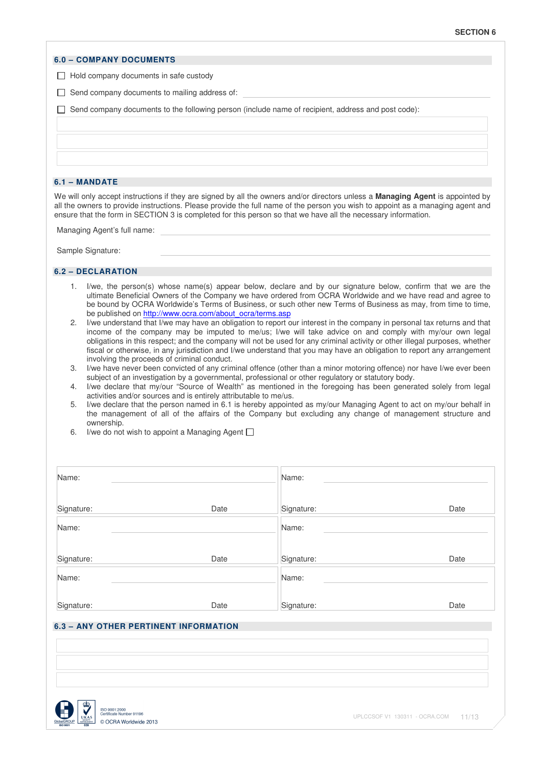#### **6.0 – COMPANY DOCUMENTS**

 $\Box$  Hold company documents in safe custody

 $\Box$  Send company documents to mailing address of:

 $\Box$  Send company documents to the following person (include name of recipient, address and post code):

#### **6.1 – MANDATE**

We will only accept instructions if they are signed by all the owners and/or directors unless a **Managing Agent** is appointed by all the owners to provide instructions. Please provide the full name of the person you wish to appoint as a managing agent and ensure that the form in SECTION 3 is completed for this person so that we have all the necessary information.

Managing Agent's full name:

Sample Signature:

#### **6.2 – DECLARATION**

- 1. I/we, the person(s) whose name(s) appear below, declare and by our signature below, confirm that we are the ultimate Beneficial Owners of the Company we have ordered from OCRA Worldwide and we have read and agree to be bound by OCRA Worldwide's Terms of Business, or such other new Terms of Business as may, from time to time, be published on http://www.ocra.com/about\_ocra/terms.asp
- 2. I/we understand that I/we may have an obligation to report our interest in the company in personal tax returns and that income of the company may be imputed to me/us; I/we will take advice on and comply with my/our own legal obligations in this respect; and the company will not be used for any criminal activity or other illegal purposes, whether fiscal or otherwise, in any jurisdiction and I/we understand that you may have an obligation to report any arrangement involving the proceeds of criminal conduct.
- 3. I/we have never been convicted of any criminal offence (other than a minor motoring offence) nor have I/we ever been subject of an investigation by a governmental, professional or other regulatory or statutory body.
- 4. I/we declare that my/our "Source of Wealth" as mentioned in the foregoing has been generated solely from legal activities and/or sources and is entirely attributable to me/us.
- 5. I/we declare that the person named in 6.1 is hereby appointed as my/our Managing Agent to act on my/our behalf in the management of all of the affairs of the Company but excluding any change of management structure and ownership.
- 6. I/we do not wish to appoint a Managing Agent  $\Box$

| Name:      |      | Name:      |      |
|------------|------|------------|------|
| Signature: | Date | Signature: | Date |
| Name:      |      | Name:      |      |
| Signature: | Date | Signature: | Date |
| Name:      |      | Name:      |      |
| Signature: | Date | Signature: | Date |

# **6.3 – ANY OTHER PERTINENT INFORMATION**

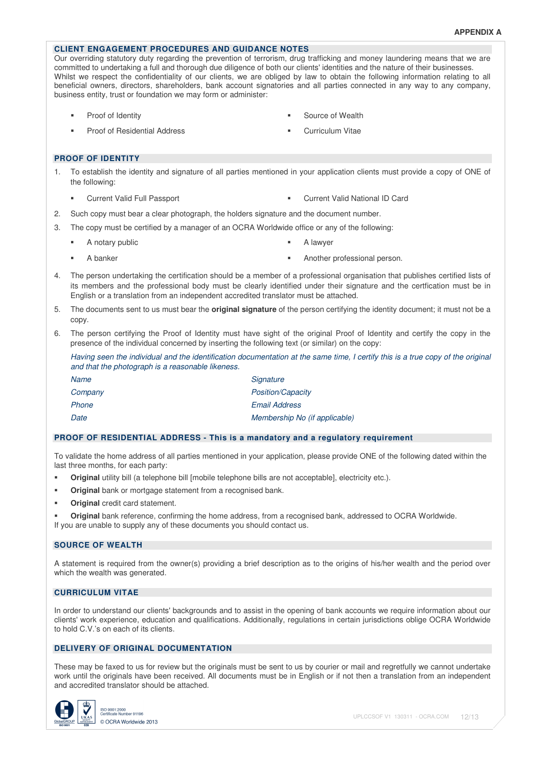## **CLIENT ENGAGEMENT PROCEDURES AND GUIDANCE NOTES**

Our overriding statutory duty regarding the prevention of terrorism, drug trafficking and money laundering means that we are committed to undertaking a full and thorough due diligence of both our clients' identities and the nature of their businesses. Whilst we respect the confidentiality of our clients, we are obliged by law to obtain the following information relating to all beneficial owners, directors, shareholders, bank account signatories and all parties connected in any way to any company, business entity, trust or foundation we may form or administer:

- 
- Proof of Identity **Source of Wealth Source of Wealth**
- Proof of Residential Address **Curriculum Vitae** Curriculum Vitae
- 

#### **PROOF OF IDENTITY**

- 1. To establish the identity and signature of all parties mentioned in your application clients must provide a copy of ONE of the following:
	- Current Valid Full Passport Current Valid National ID Card
- 2. Such copy must bear a clear photograph, the holders signature and the document number.
- 3. The copy must be certified by a manager of an OCRA Worldwide office or any of the following:
	- A notary public **A** lawyer
- 

- 
- A banker **Analyze Another professional person.** Another professional person.
- 4. The person undertaking the certification should be a member of a professional organisation that publishes certified lists of its members and the professional body must be clearly identified under their signature and the certfication must be in English or a translation from an independent accredited translator must be attached.
- 5. The documents sent to us must bear the **original signature** of the person certifying the identity document; it must not be a copy.
- 6. The person certifying the Proof of Identity must have sight of the original Proof of Identity and certify the copy in the presence of the individual concerned by inserting the following text (or similar) on the copy:

Having seen the individual and the identification documentation at the same time, I certify this is a true copy of the original and that the photograph is a reasonable likeness.

| Name    | Signature                     |
|---------|-------------------------------|
| Company | <b>Position/Capacity</b>      |
| Phone   | <b>Email Address</b>          |
| Date    | Membership No (if applicable) |

#### **PROOF OF RESIDENTIAL ADDRESS - This is a mandatory and a regulatory requirement**

To validate the home address of all parties mentioned in your application, please provide ONE of the following dated within the last three months, for each party:

- **•** Original utility bill (a telephone bill [mobile telephone bills are not acceptable], electricity etc.).
- **Original** bank or mortgage statement from a recognised bank.
- **Original** credit card statement.
- **Original** bank reference, confirming the home address, from a recognised bank, addressed to OCRA Worldwide. If you are unable to supply any of these documents you should contact us.

### **SOURCE OF WEALTH**

A statement is required from the owner(s) providing a brief description as to the origins of his/her wealth and the period over which the wealth was generated.

### **CURRICULUM VITAE**

In order to understand our clients' backgrounds and to assist in the opening of bank accounts we require information about our clients' work experience, education and qualifications. Additionally, regulations in certain jurisdictions oblige OCRA Worldwide to hold C.V.'s on each of its clients.

### **DELIVERY OF ORIGINAL DOCUMENTATION**

These may be faxed to us for review but the originals must be sent to us by courier or mail and regretfully we cannot undertake work until the originals have been received. All documents must be in English or if not then a translation from an independent and accredited translator should be attached.